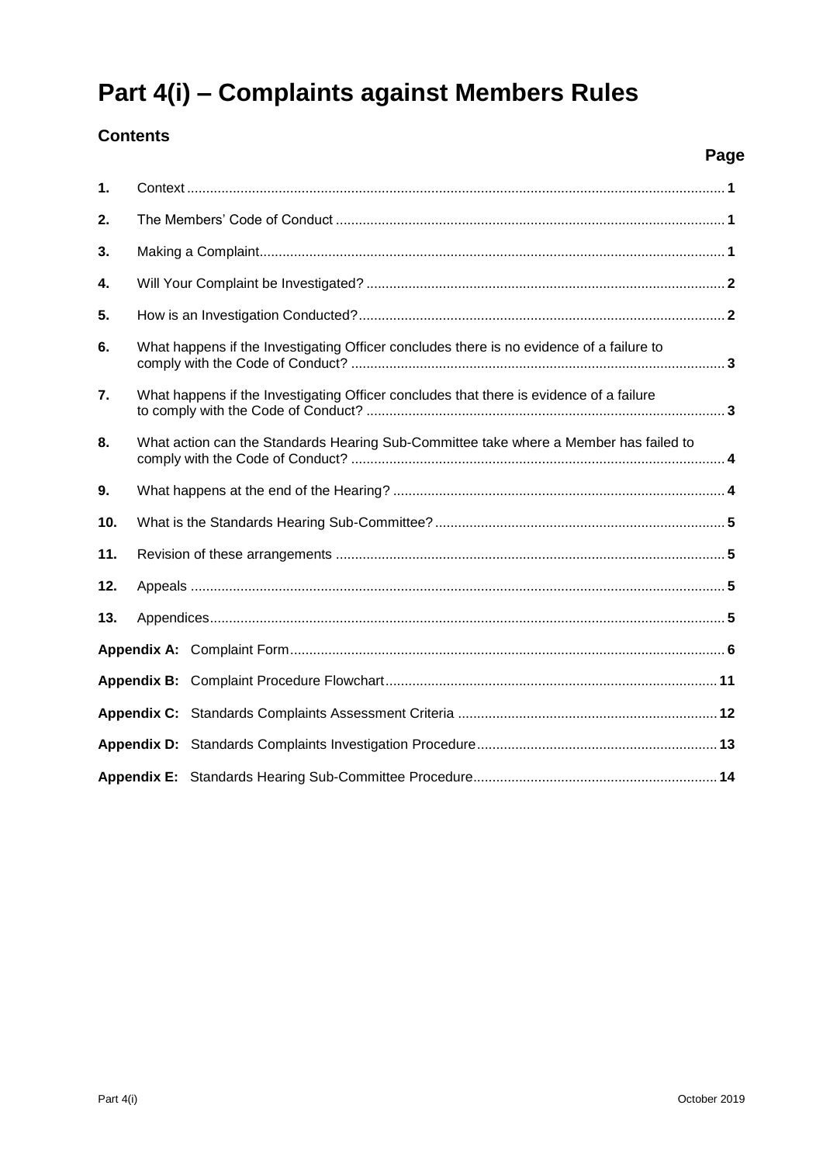# **Part 4(i) – Complaints against Members Rules**

# **Contents**

|     |                                                                                          |  | Page |  |
|-----|------------------------------------------------------------------------------------------|--|------|--|
| 1.  |                                                                                          |  |      |  |
| 2.  |                                                                                          |  |      |  |
| 3.  |                                                                                          |  |      |  |
| 4.  |                                                                                          |  |      |  |
| 5.  |                                                                                          |  |      |  |
| 6.  | What happens if the Investigating Officer concludes there is no evidence of a failure to |  |      |  |
| 7.  | What happens if the Investigating Officer concludes that there is evidence of a failure  |  |      |  |
| 8.  | What action can the Standards Hearing Sub-Committee take where a Member has failed to    |  |      |  |
| 9.  |                                                                                          |  |      |  |
| 10. |                                                                                          |  |      |  |
| 11. |                                                                                          |  |      |  |
| 12. |                                                                                          |  |      |  |
| 13. |                                                                                          |  |      |  |
|     |                                                                                          |  |      |  |
|     |                                                                                          |  |      |  |
|     |                                                                                          |  |      |  |
|     |                                                                                          |  |      |  |
|     |                                                                                          |  |      |  |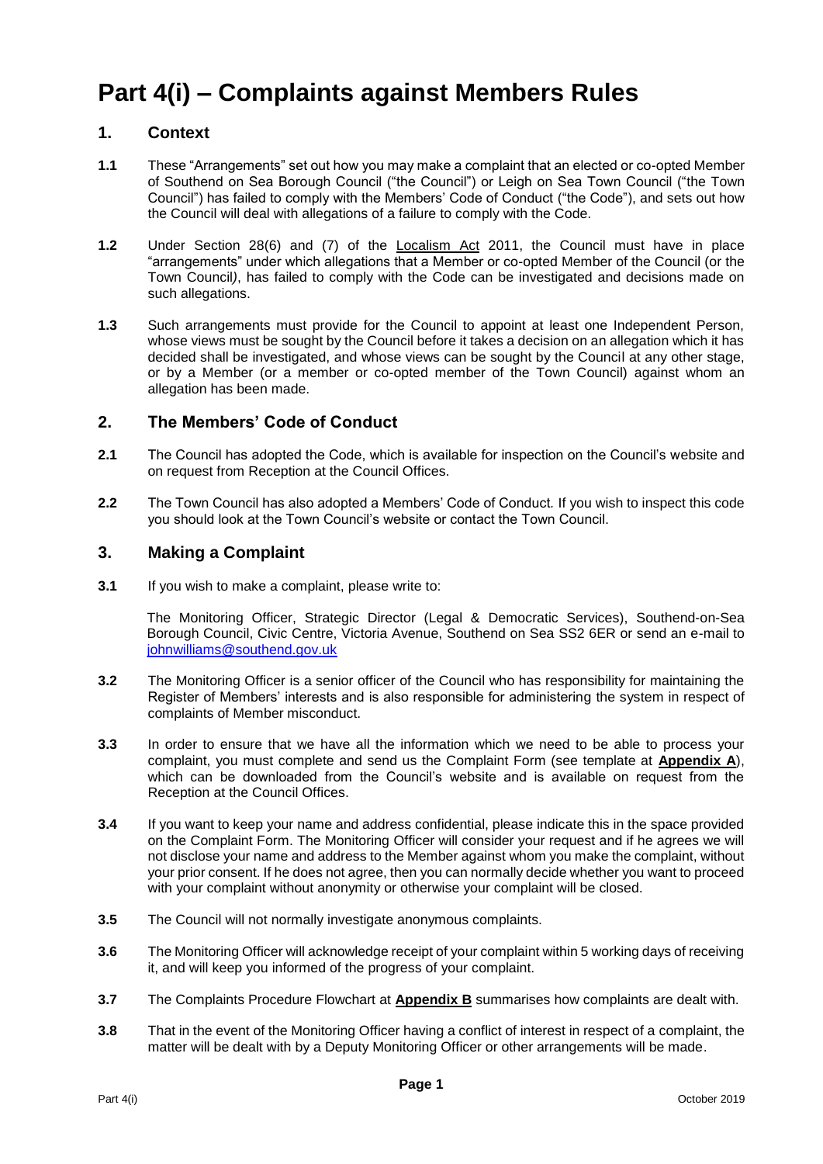# **Part 4(i) – Complaints against Members Rules**

### **1. Context**

- **1.1** These "Arrangements" set out how you may make a complaint that an elected or co-opted Member of Southend on Sea Borough Council ("the Council") or Leigh on Sea Town Council ("the Town Council") has failed to comply with the Members' Code of Conduct ("the Code"), and sets out how the Council will deal with allegations of a failure to comply with the Code.
- **1.2** Under Section 28(6) and (7) of the Localism Act 2011, the Council must have in place "arrangements" under which allegations that a Member or co-opted Member of the Council (or the Town Council*)*, has failed to comply with the Code can be investigated and decisions made on such allegations.
- **1.3** Such arrangements must provide for the Council to appoint at least one Independent Person, whose views must be sought by the Council before it takes a decision on an allegation which it has decided shall be investigated, and whose views can be sought by the Council at any other stage, or by a Member (or a member or co-opted member of the Town Council) against whom an allegation has been made.

# **2. The Members' Code of Conduct**

- **2.1** The Council has adopted the Code, which is available for inspection on the Council's website and on request from Reception at the Council Offices.
- **2.2** The Town Council has also adopted a Members' Code of Conduct*.* If you wish to inspect this code you should look at the Town Council's website or contact the Town Council.

### **3. Making a Complaint**

**3.1** If you wish to make a complaint, please write to:

The Monitoring Officer, Strategic Director (Legal & Democratic Services), Southend-on-Sea Borough Council, Civic Centre, Victoria Avenue, Southend on Sea SS2 6ER or send an e-mail to [johnwilliams@southend.gov.uk](mailto:johnwilliams@southend.gov.uk)

- **3.2** The Monitoring Officer is a senior officer of the Council who has responsibility for maintaining the Register of Members' interests and is also responsible for administering the system in respect of complaints of Member misconduct.
- **3.3** In order to ensure that we have all the information which we need to be able to process your complaint, you must complete and send us the Complaint Form (see template at **Appendix A**), which can be downloaded from the Council's website and is available on request from the Reception at the Council Offices.
- **3.4** If you want to keep your name and address confidential, please indicate this in the space provided on the Complaint Form. The Monitoring Officer will consider your request and if he agrees we will not disclose your name and address to the Member against whom you make the complaint, without your prior consent. If he does not agree, then you can normally decide whether you want to proceed with your complaint without anonymity or otherwise your complaint will be closed.
- **3.5** The Council will not normally investigate anonymous complaints.
- **3.6** The Monitoring Officer will acknowledge receipt of your complaint within 5 working days of receiving it, and will keep you informed of the progress of your complaint.
- **3.7** The Complaints Procedure Flowchart at **Appendix B** summarises how complaints are dealt with.
- **3.8** That in the event of the Monitoring Officer having a conflict of interest in respect of a complaint, the matter will be dealt with by a Deputy Monitoring Officer or other arrangements will be made.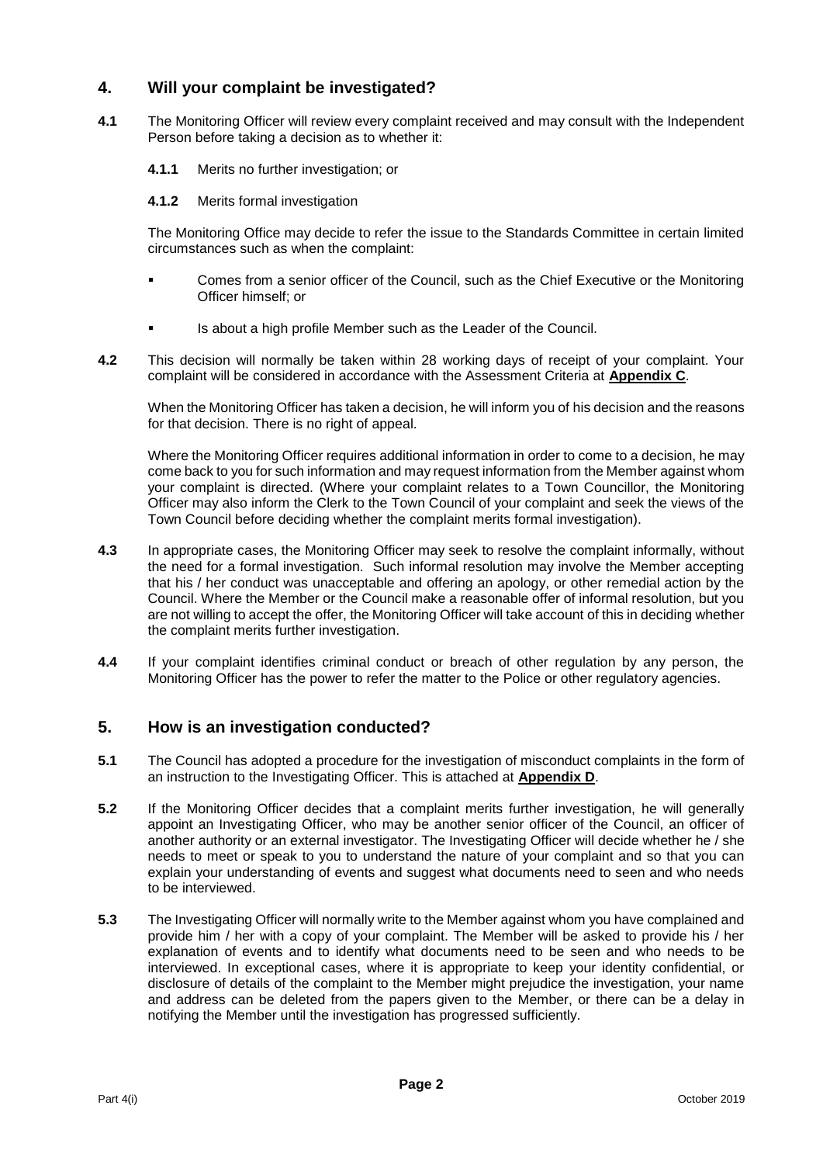# **4. Will your complaint be investigated?**

- **4.1** The Monitoring Officer will review every complaint received and may consult with the Independent Person before taking a decision as to whether it:
	- **4.1.1** Merits no further investigation; or
	- **4.1.2** Merits formal investigation

The Monitoring Office may decide to refer the issue to the Standards Committee in certain limited circumstances such as when the complaint:

- Comes from a senior officer of the Council, such as the Chief Executive or the Monitoring Officer himself; or
- Is about a high profile Member such as the Leader of the Council.
- **4.2** This decision will normally be taken within 28 working days of receipt of your complaint. Your complaint will be considered in accordance with the Assessment Criteria at **Appendix C**.

When the Monitoring Officer has taken a decision, he will inform you of his decision and the reasons for that decision. There is no right of appeal.

Where the Monitoring Officer requires additional information in order to come to a decision, he may come back to you for such information and may request information from the Member against whom your complaint is directed. (Where your complaint relates to a Town Councillor, the Monitoring Officer may also inform the Clerk to the Town Council of your complaint and seek the views of the Town Council before deciding whether the complaint merits formal investigation).

- **4.3** In appropriate cases, the Monitoring Officer may seek to resolve the complaint informally, without the need for a formal investigation. Such informal resolution may involve the Member accepting that his / her conduct was unacceptable and offering an apology, or other remedial action by the Council. Where the Member or the Council make a reasonable offer of informal resolution, but you are not willing to accept the offer, the Monitoring Officer will take account of this in deciding whether the complaint merits further investigation.
- **4.4** If your complaint identifies criminal conduct or breach of other regulation by any person, the Monitoring Officer has the power to refer the matter to the Police or other regulatory agencies.

### **5. How is an investigation conducted?**

- **5.1** The Council has adopted a procedure for the investigation of misconduct complaints in the form of an instruction to the Investigating Officer. This is attached at **Appendix D**.
- **5.2** If the Monitoring Officer decides that a complaint merits further investigation, he will generally appoint an Investigating Officer, who may be another senior officer of the Council, an officer of another authority or an external investigator. The Investigating Officer will decide whether he / she needs to meet or speak to you to understand the nature of your complaint and so that you can explain your understanding of events and suggest what documents need to seen and who needs to be interviewed.
- **5.3** The Investigating Officer will normally write to the Member against whom you have complained and provide him / her with a copy of your complaint. The Member will be asked to provide his / her explanation of events and to identify what documents need to be seen and who needs to be interviewed. In exceptional cases, where it is appropriate to keep your identity confidential, or disclosure of details of the complaint to the Member might prejudice the investigation, your name and address can be deleted from the papers given to the Member, or there can be a delay in notifying the Member until the investigation has progressed sufficiently.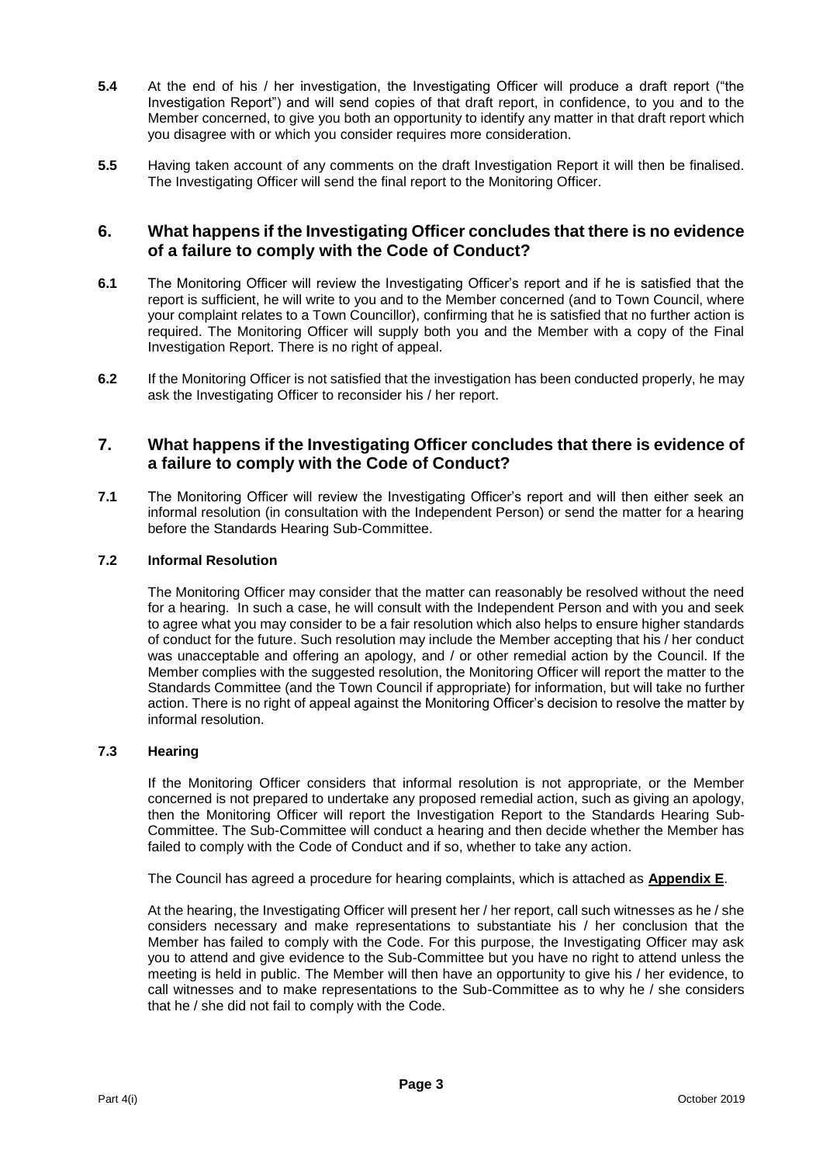- **5.4** At the end of his / her investigation, the Investigating Officer will produce a draft report ("the Investigation Report") and will send copies of that draft report, in confidence, to you and to the Member concerned, to give you both an opportunity to identify any matter in that draft report which you disagree with or which you consider requires more consideration.
- **5.5** Having taken account of any comments on the draft Investigation Report it will then be finalised. The Investigating Officer will send the final report to the Monitoring Officer.

### **6. What happens if the Investigating Officer concludes that there is no evidence of a failure to comply with the Code of Conduct?**

- **6.1** The Monitoring Officer will review the Investigating Officer's report and if he is satisfied that the report is sufficient, he will write to you and to the Member concerned (and to Town Council, where your complaint relates to a Town Councillor), confirming that he is satisfied that no further action is required. The Monitoring Officer will supply both you and the Member with a copy of the Final Investigation Report. There is no right of appeal.
- **6.2** If the Monitoring Officer is not satisfied that the investigation has been conducted properly, he may ask the Investigating Officer to reconsider his / her report.

### **7. What happens if the Investigating Officer concludes that there is evidence of a failure to comply with the Code of Conduct?**

**7.1** The Monitoring Officer will review the Investigating Officer's report and will then either seek an informal resolution (in consultation with the Independent Person) or send the matter for a hearing before the Standards Hearing Sub-Committee.

#### **7.2 Informal Resolution**

The Monitoring Officer may consider that the matter can reasonably be resolved without the need for a hearing. In such a case, he will consult with the Independent Person and with you and seek to agree what you may consider to be a fair resolution which also helps to ensure higher standards of conduct for the future. Such resolution may include the Member accepting that his / her conduct was unacceptable and offering an apology, and / or other remedial action by the Council. If the Member complies with the suggested resolution, the Monitoring Officer will report the matter to the Standards Committee (and the Town Council if appropriate) for information, but will take no further action. There is no right of appeal against the Monitoring Officer's decision to resolve the matter by informal resolution.

#### **7.3 Hearing**

If the Monitoring Officer considers that informal resolution is not appropriate, or the Member concerned is not prepared to undertake any proposed remedial action, such as giving an apology, then the Monitoring Officer will report the Investigation Report to the Standards Hearing Sub-Committee. The Sub-Committee will conduct a hearing and then decide whether the Member has failed to comply with the Code of Conduct and if so, whether to take any action.

The Council has agreed a procedure for hearing complaints, which is attached as **Appendix E**.

At the hearing, the Investigating Officer will present her / her report, call such witnesses as he / she considers necessary and make representations to substantiate his / her conclusion that the Member has failed to comply with the Code. For this purpose, the Investigating Officer may ask you to attend and give evidence to the Sub-Committee but you have no right to attend unless the meeting is held in public. The Member will then have an opportunity to give his / her evidence, to call witnesses and to make representations to the Sub-Committee as to why he / she considers that he / she did not fail to comply with the Code.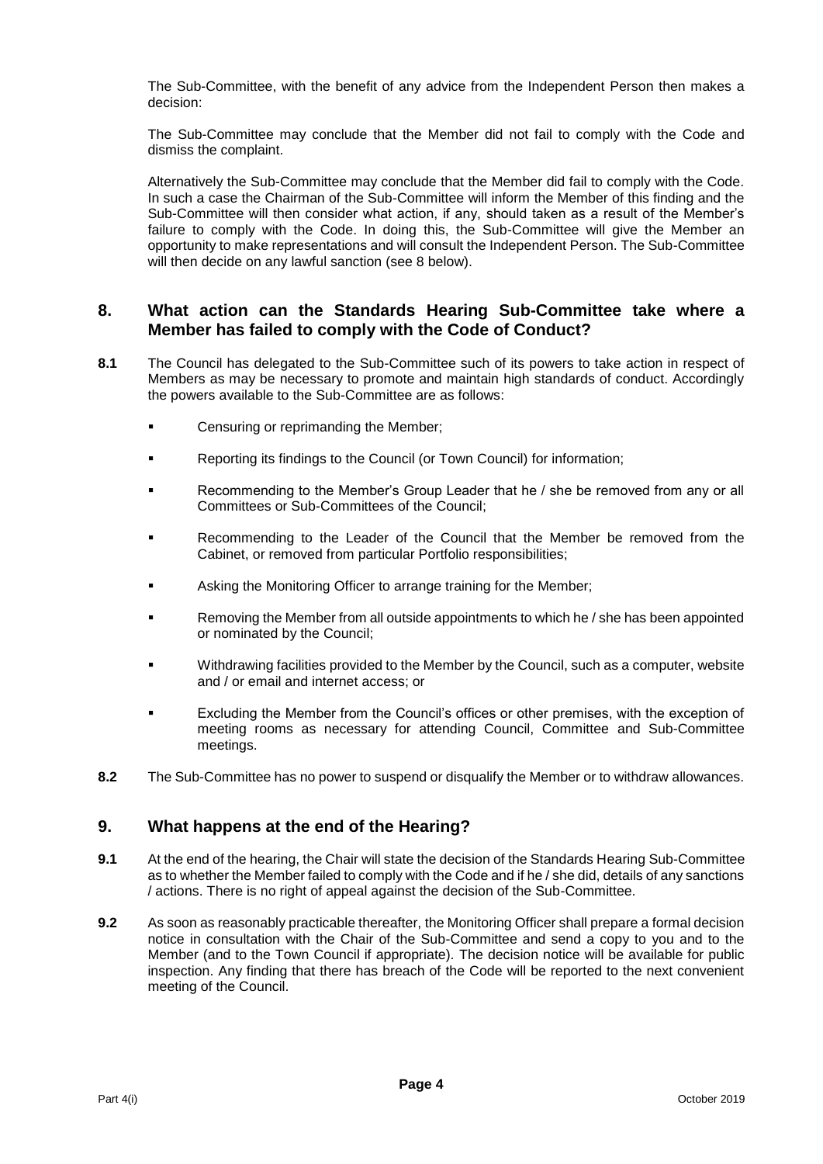The Sub-Committee, with the benefit of any advice from the Independent Person then makes a decision:

The Sub-Committee may conclude that the Member did not fail to comply with the Code and dismiss the complaint.

Alternatively the Sub-Committee may conclude that the Member did fail to comply with the Code. In such a case the Chairman of the Sub-Committee will inform the Member of this finding and the Sub-Committee will then consider what action, if any, should taken as a result of the Member's failure to comply with the Code. In doing this, the Sub-Committee will give the Member an opportunity to make representations and will consult the Independent Person. The Sub-Committee will then decide on any lawful sanction (see 8 below).

### **8. What action can the Standards Hearing Sub-Committee take where a Member has failed to comply with the Code of Conduct?**

- **8.1** The Council has delegated to the Sub-Committee such of its powers to take action in respect of Members as may be necessary to promote and maintain high standards of conduct. Accordingly the powers available to the Sub-Committee are as follows:
	- Censuring or reprimanding the Member;
	- Reporting its findings to the Council (or Town Council) for information;
	- Recommending to the Member's Group Leader that he / she be removed from any or all Committees or Sub-Committees of the Council;
	- Recommending to the Leader of the Council that the Member be removed from the Cabinet, or removed from particular Portfolio responsibilities;
	- Asking the Monitoring Officer to arrange training for the Member;
	- Removing the Member from all outside appointments to which he / she has been appointed or nominated by the Council;
	- Withdrawing facilities provided to the Member by the Council, such as a computer, website and / or email and internet access; or
	- Excluding the Member from the Council's offices or other premises, with the exception of meeting rooms as necessary for attending Council, Committee and Sub-Committee meetings.
- **8.2** The Sub-Committee has no power to suspend or disqualify the Member or to withdraw allowances.

### **9. What happens at the end of the Hearing?**

- **9.1** At the end of the hearing, the Chair will state the decision of the Standards Hearing Sub-Committee as to whether the Member failed to comply with the Code and if he / she did, details of any sanctions / actions. There is no right of appeal against the decision of the Sub-Committee.
- **9.2** As soon as reasonably practicable thereafter, the Monitoring Officer shall prepare a formal decision notice in consultation with the Chair of the Sub-Committee and send a copy to you and to the Member (and to the Town Council if appropriate). The decision notice will be available for public inspection. Any finding that there has breach of the Code will be reported to the next convenient meeting of the Council.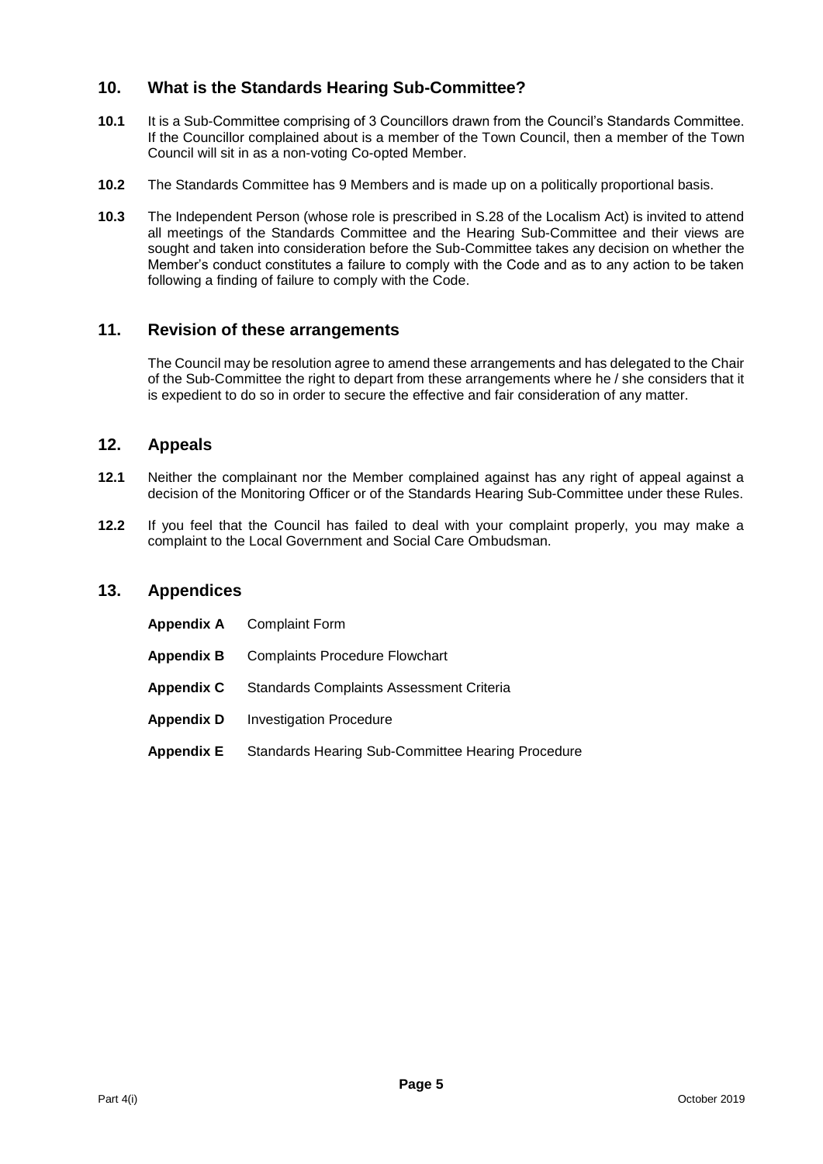# **10. What is the Standards Hearing Sub-Committee?**

- **10.1** It is a Sub-Committee comprising of 3 Councillors drawn from the Council's Standards Committee. If the Councillor complained about is a member of the Town Council, then a member of the Town Council will sit in as a non-voting Co-opted Member.
- **10.2** The Standards Committee has 9 Members and is made up on a politically proportional basis.
- **10.3** The Independent Person (whose role is prescribed in S.28 of the Localism Act) is invited to attend all meetings of the Standards Committee and the Hearing Sub-Committee and their views are sought and taken into consideration before the Sub-Committee takes any decision on whether the Member's conduct constitutes a failure to comply with the Code and as to any action to be taken following a finding of failure to comply with the Code.

# **11. Revision of these arrangements**

The Council may be resolution agree to amend these arrangements and has delegated to the Chair of the Sub-Committee the right to depart from these arrangements where he / she considers that it is expedient to do so in order to secure the effective and fair consideration of any matter.

# **12. Appeals**

- **12.1** Neither the complainant nor the Member complained against has any right of appeal against a decision of the Monitoring Officer or of the Standards Hearing Sub-Committee under these Rules.
- **12.2** If you feel that the Council has failed to deal with your complaint properly, you may make a complaint to the Local Government and Social Care Ombudsman.

### **13. Appendices**

|                   | <b>Appendix A</b> Complaint Form                         |
|-------------------|----------------------------------------------------------|
| <b>Appendix B</b> | <b>Complaints Procedure Flowchart</b>                    |
| <b>Appendix C</b> | <b>Standards Complaints Assessment Criteria</b>          |
| Appendix D        | <b>Investigation Procedure</b>                           |
| <b>Appendix E</b> | <b>Standards Hearing Sub-Committee Hearing Procedure</b> |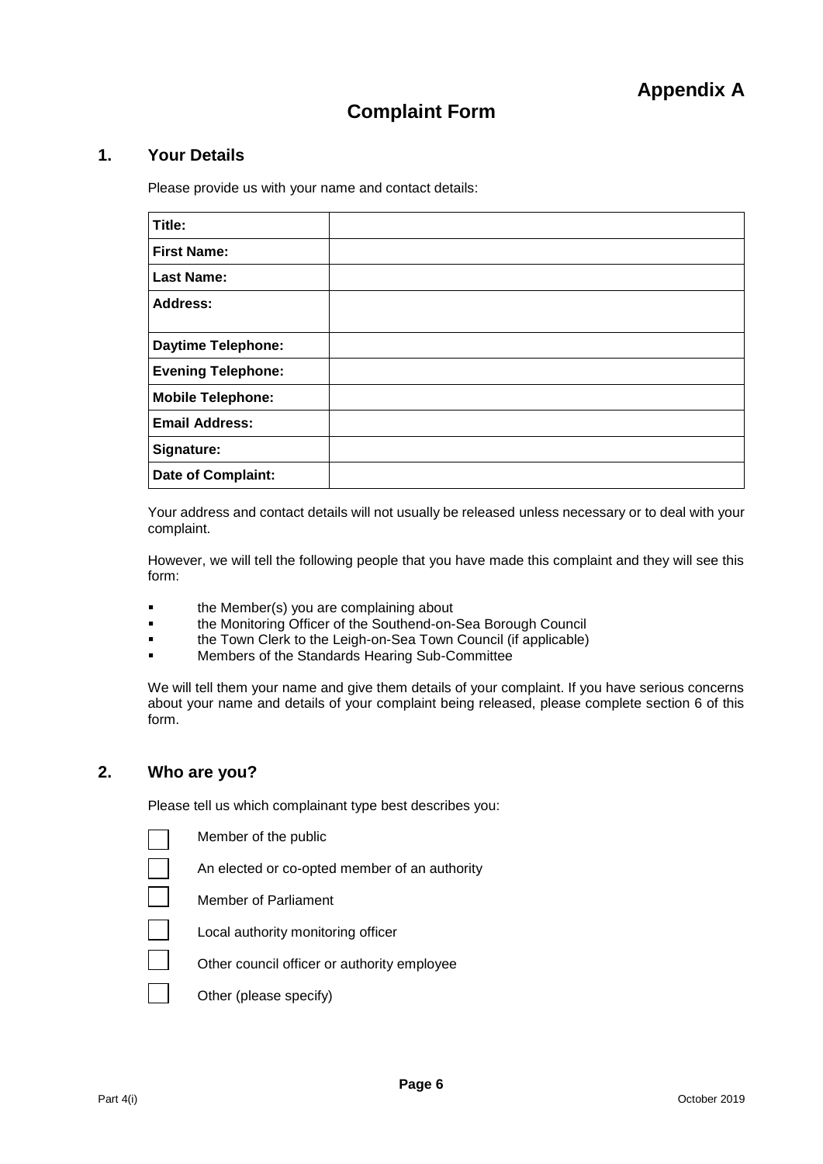# **Complaint Form**

# **1. Your Details**

Please provide us with your name and contact details:

| Title:                    |  |
|---------------------------|--|
| <b>First Name:</b>        |  |
| <b>Last Name:</b>         |  |
| <b>Address:</b>           |  |
| <b>Daytime Telephone:</b> |  |
| <b>Evening Telephone:</b> |  |
| <b>Mobile Telephone:</b>  |  |
| <b>Email Address:</b>     |  |
| Signature:                |  |
| Date of Complaint:        |  |

Your address and contact details will not usually be released unless necessary or to deal with your complaint.

However, we will tell the following people that you have made this complaint and they will see this form:

- **the Member(s) you are complaining about**
- **the Monitoring Officer of the Southend-on-Sea Borough Council**
- **the Town Clerk to the Leigh-on-Sea Town Council (if applicable)**
- Members of the Standards Hearing Sub-Committee

We will tell them your name and give them details of your complaint. If you have serious concerns about your name and details of your complaint being released, please complete section 6 of this form.

#### **2. Who are you?**

Please tell us which complainant type best describes you:

- Member of the public An elected or co-opted member of an authority Member of Parliament Local authority monitoring officer
	- Other council officer or authority employee
	- Other (please specify)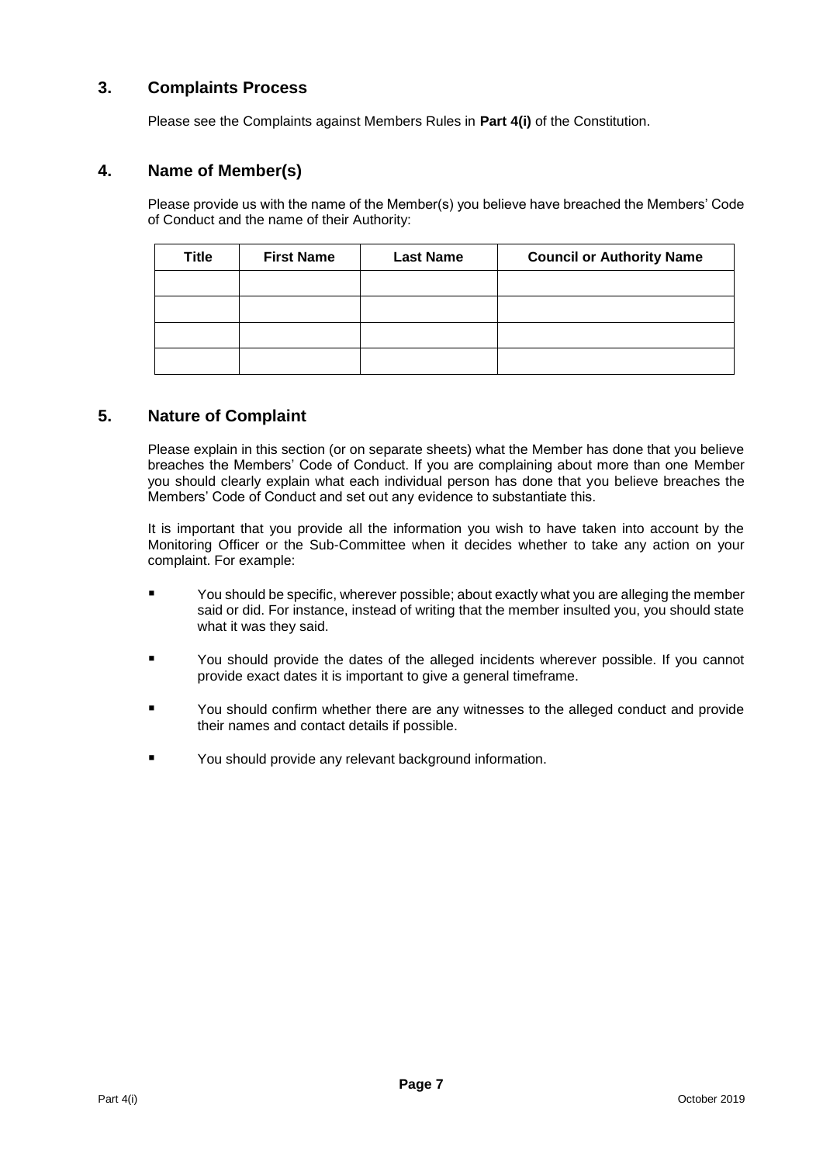# **3. Complaints Process**

Please see the Complaints against Members Rules in **Part 4(i)** of the Constitution.

# **4. Name of Member(s)**

Please provide us with the name of the Member(s) you believe have breached the Members' Code of Conduct and the name of their Authority:

| <b>Title</b> | <b>First Name</b> | <b>Last Name</b> | <b>Council or Authority Name</b> |
|--------------|-------------------|------------------|----------------------------------|
|              |                   |                  |                                  |
|              |                   |                  |                                  |
|              |                   |                  |                                  |
|              |                   |                  |                                  |

# **5. Nature of Complaint**

Please explain in this section (or on separate sheets) what the Member has done that you believe breaches the Members' Code of Conduct. If you are complaining about more than one Member you should clearly explain what each individual person has done that you believe breaches the Members' Code of Conduct and set out any evidence to substantiate this.

It is important that you provide all the information you wish to have taken into account by the Monitoring Officer or the Sub-Committee when it decides whether to take any action on your complaint. For example:

- You should be specific, wherever possible; about exactly what you are alleging the member said or did. For instance, instead of writing that the member insulted you, you should state what it was they said.
- You should provide the dates of the alleged incidents wherever possible. If you cannot provide exact dates it is important to give a general timeframe.
- You should confirm whether there are any witnesses to the alleged conduct and provide their names and contact details if possible.
- You should provide any relevant background information.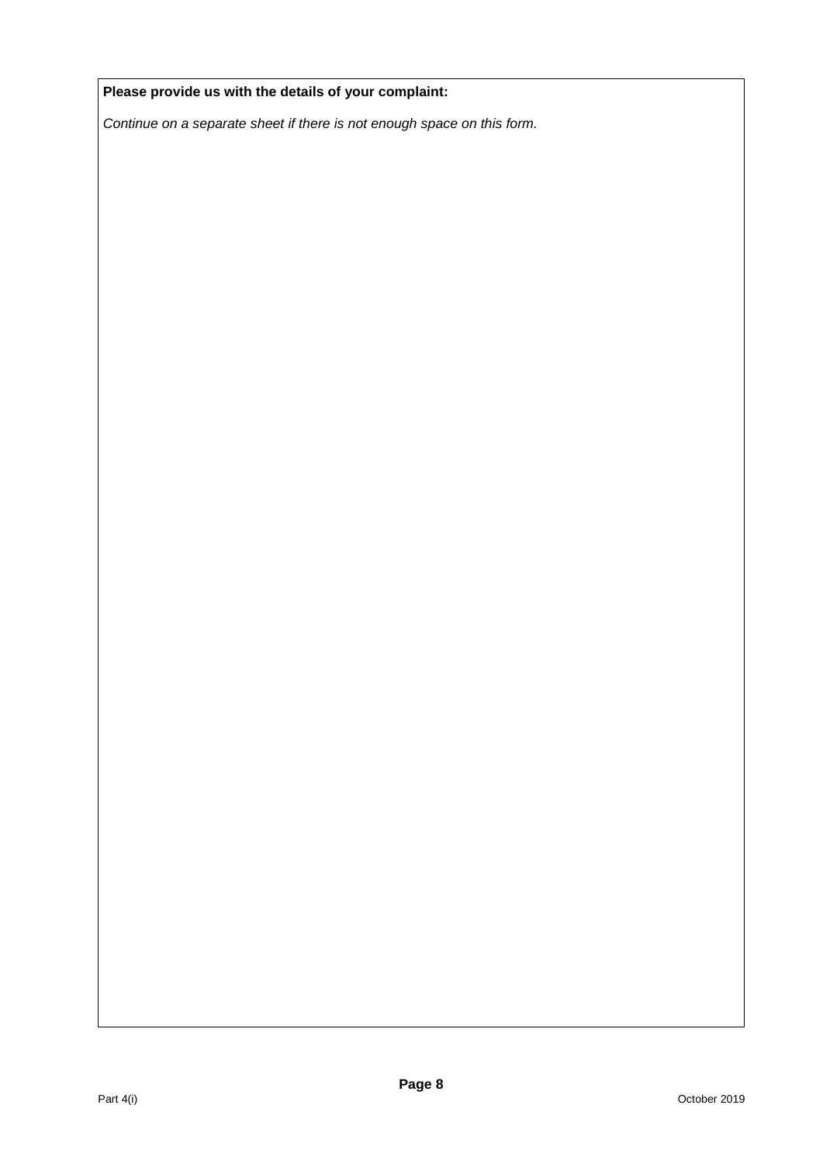# **Please provide us with the details of your complaint:**

*Continue on a separate sheet if there is not enough space on this form.*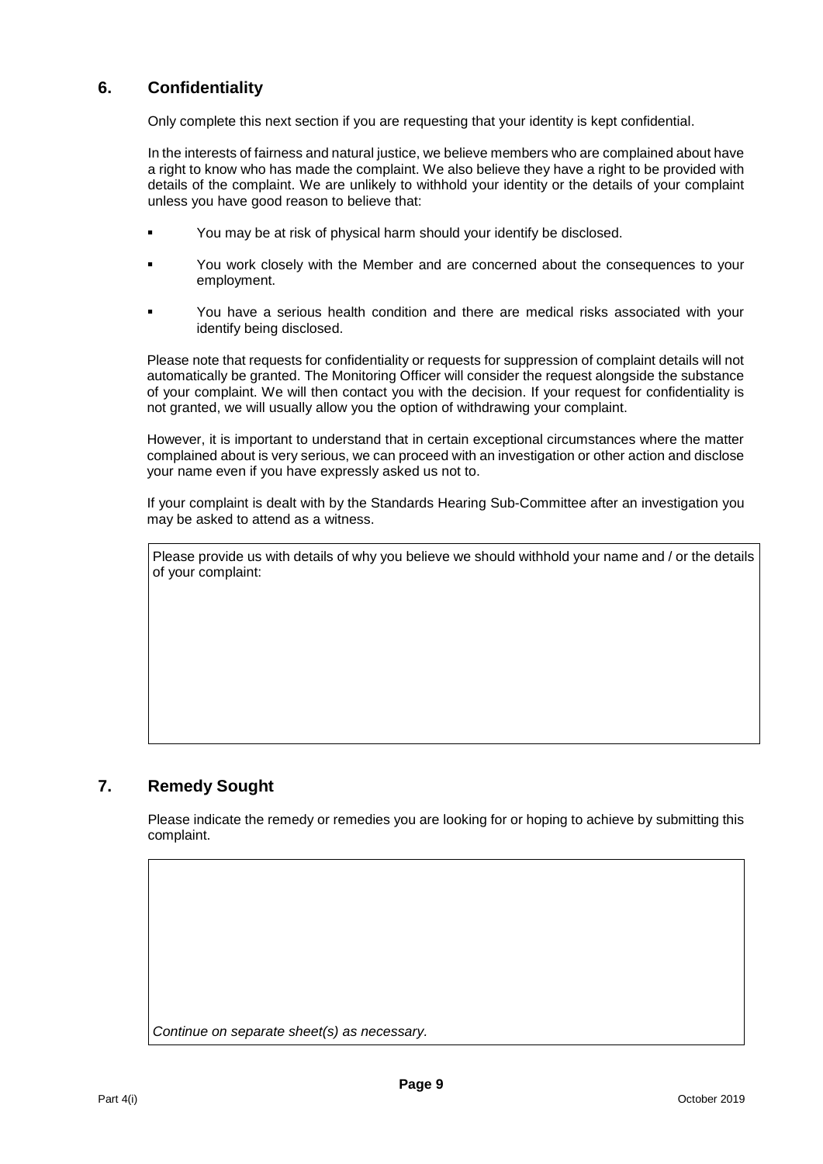# **6. Confidentiality**

Only complete this next section if you are requesting that your identity is kept confidential.

In the interests of fairness and natural justice, we believe members who are complained about have a right to know who has made the complaint. We also believe they have a right to be provided with details of the complaint. We are unlikely to withhold your identity or the details of your complaint unless you have good reason to believe that:

- You may be at risk of physical harm should your identify be disclosed.
- You work closely with the Member and are concerned about the consequences to your employment.
- You have a serious health condition and there are medical risks associated with your identify being disclosed.

Please note that requests for confidentiality or requests for suppression of complaint details will not automatically be granted. The Monitoring Officer will consider the request alongside the substance of your complaint. We will then contact you with the decision. If your request for confidentiality is not granted, we will usually allow you the option of withdrawing your complaint.

However, it is important to understand that in certain exceptional circumstances where the matter complained about is very serious, we can proceed with an investigation or other action and disclose your name even if you have expressly asked us not to.

If your complaint is dealt with by the Standards Hearing Sub-Committee after an investigation you may be asked to attend as a witness.

Please provide us with details of why you believe we should withhold your name and / or the details of your complaint:

# **7. Remedy Sought**

Please indicate the remedy or remedies you are looking for or hoping to achieve by submitting this complaint.

*Continue on separate sheet(s) as necessary.*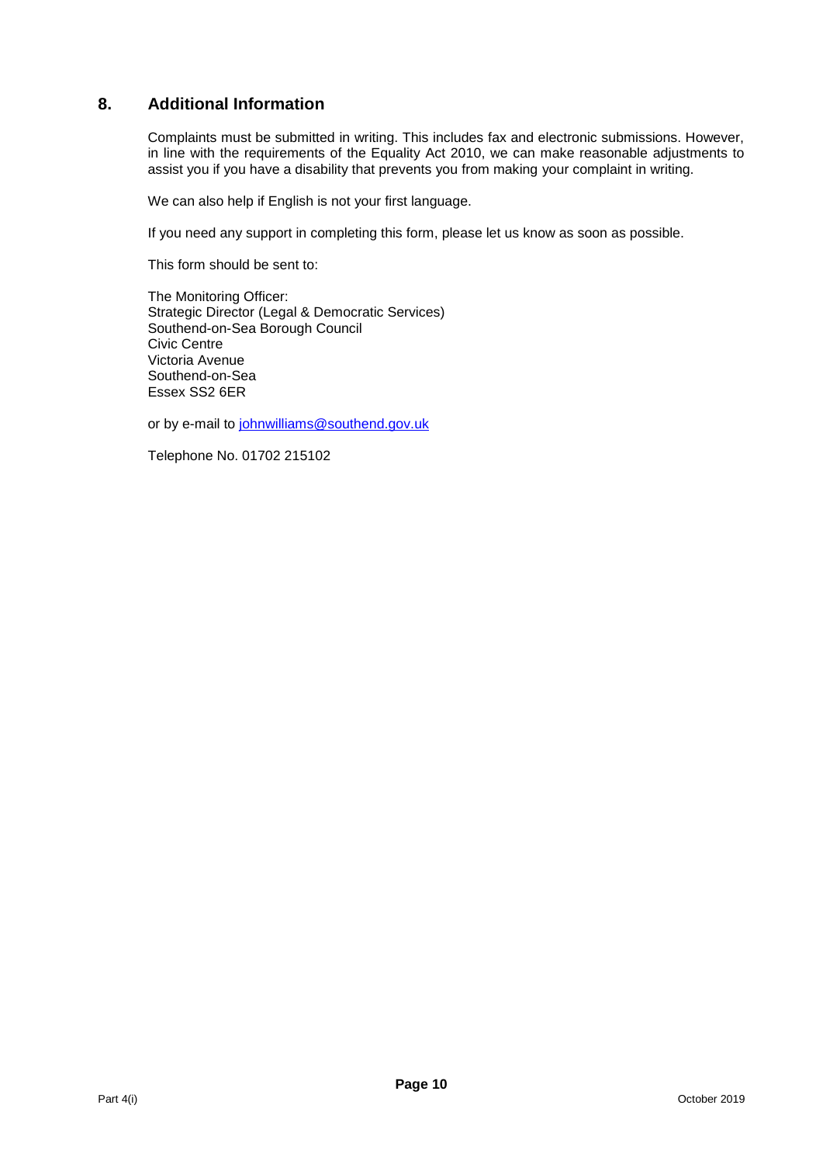# **8. Additional Information**

Complaints must be submitted in writing. This includes fax and electronic submissions. However, in line with the requirements of the Equality Act 2010, we can make reasonable adjustments to assist you if you have a disability that prevents you from making your complaint in writing.

We can also help if English is not your first language.

If you need any support in completing this form, please let us know as soon as possible.

This form should be sent to:

The Monitoring Officer: Strategic Director (Legal & Democratic Services) Southend-on-Sea Borough Council Civic Centre Victoria Avenue Southend-on-Sea Essex SS2 6ER

or by e-mail to [johnwilliams@southend.gov.uk](mailto:johnwilliams@southend.gov.uk)

Telephone No. 01702 215102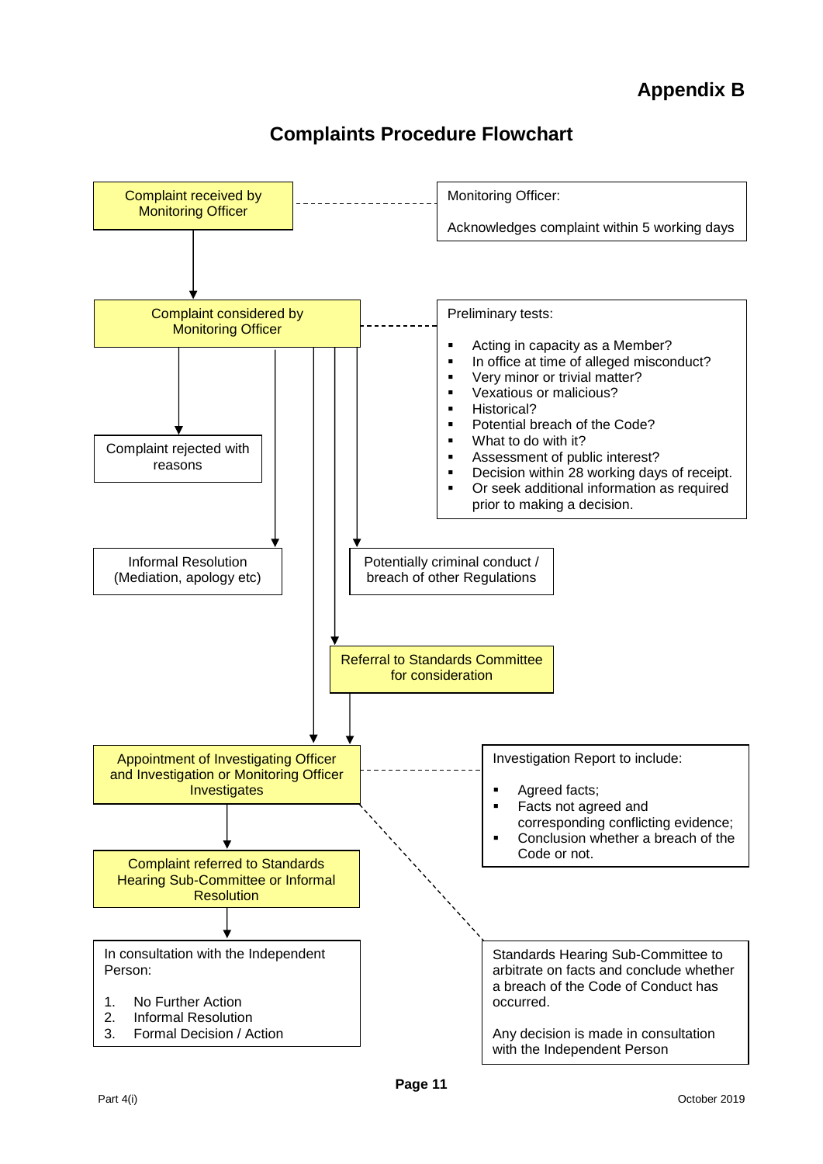# **Appendix B**

# **Complaints Procedure Flowchart**

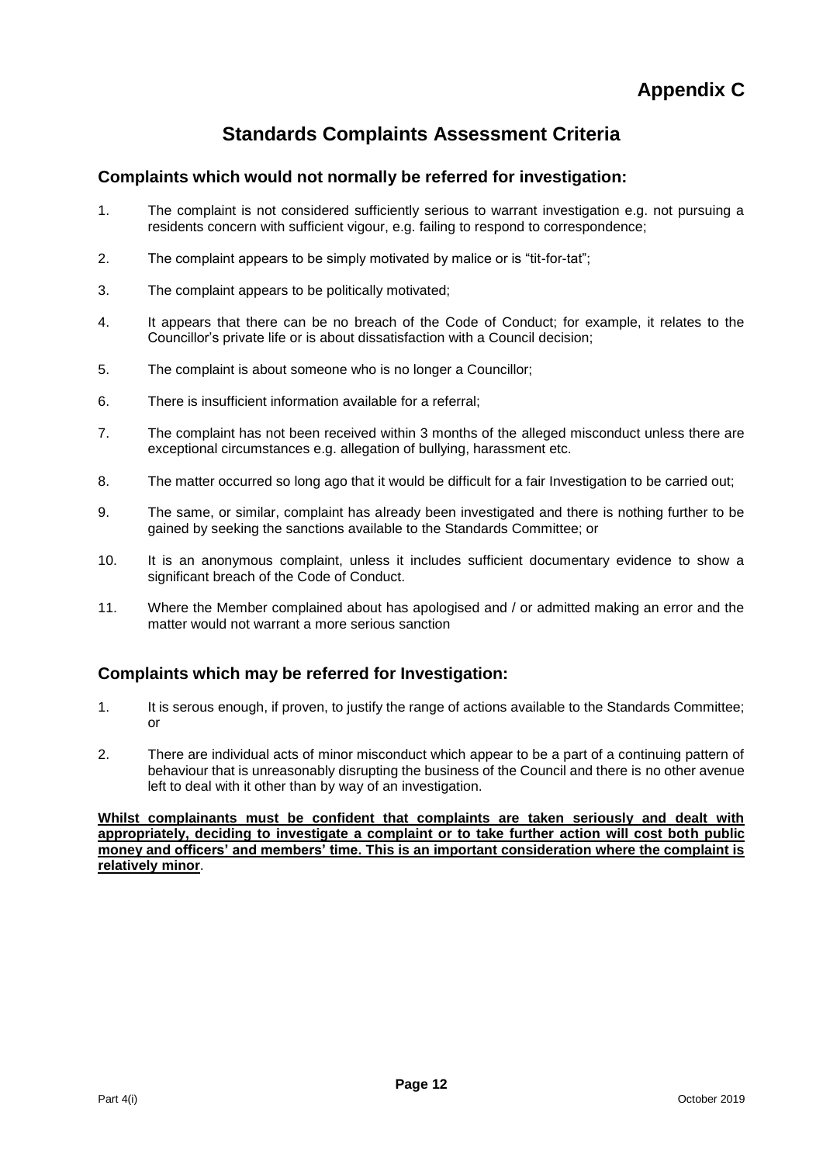# **Appendix C**

# **Standards Complaints Assessment Criteria**

### **Complaints which would not normally be referred for investigation:**

- 1. The complaint is not considered sufficiently serious to warrant investigation e.g. not pursuing a residents concern with sufficient vigour, e.g. failing to respond to correspondence;
- 2. The complaint appears to be simply motivated by malice or is "tit-for-tat";
- 3. The complaint appears to be politically motivated;
- 4. It appears that there can be no breach of the Code of Conduct; for example, it relates to the Councillor's private life or is about dissatisfaction with a Council decision;
- 5. The complaint is about someone who is no longer a Councillor;
- 6. There is insufficient information available for a referral;
- 7. The complaint has not been received within 3 months of the alleged misconduct unless there are exceptional circumstances e.g. allegation of bullying, harassment etc.
- 8. The matter occurred so long ago that it would be difficult for a fair Investigation to be carried out;
- 9. The same, or similar, complaint has already been investigated and there is nothing further to be gained by seeking the sanctions available to the Standards Committee; or
- 10. It is an anonymous complaint, unless it includes sufficient documentary evidence to show a significant breach of the Code of Conduct.
- 11. Where the Member complained about has apologised and / or admitted making an error and the matter would not warrant a more serious sanction

# **Complaints which may be referred for Investigation:**

- 1. It is serous enough, if proven, to justify the range of actions available to the Standards Committee; or
- 2. There are individual acts of minor misconduct which appear to be a part of a continuing pattern of behaviour that is unreasonably disrupting the business of the Council and there is no other avenue left to deal with it other than by way of an investigation.

**Whilst complainants must be confident that complaints are taken seriously and dealt with appropriately, deciding to investigate a complaint or to take further action will cost both public money and officers' and members' time. This is an important consideration where the complaint is relatively minor**.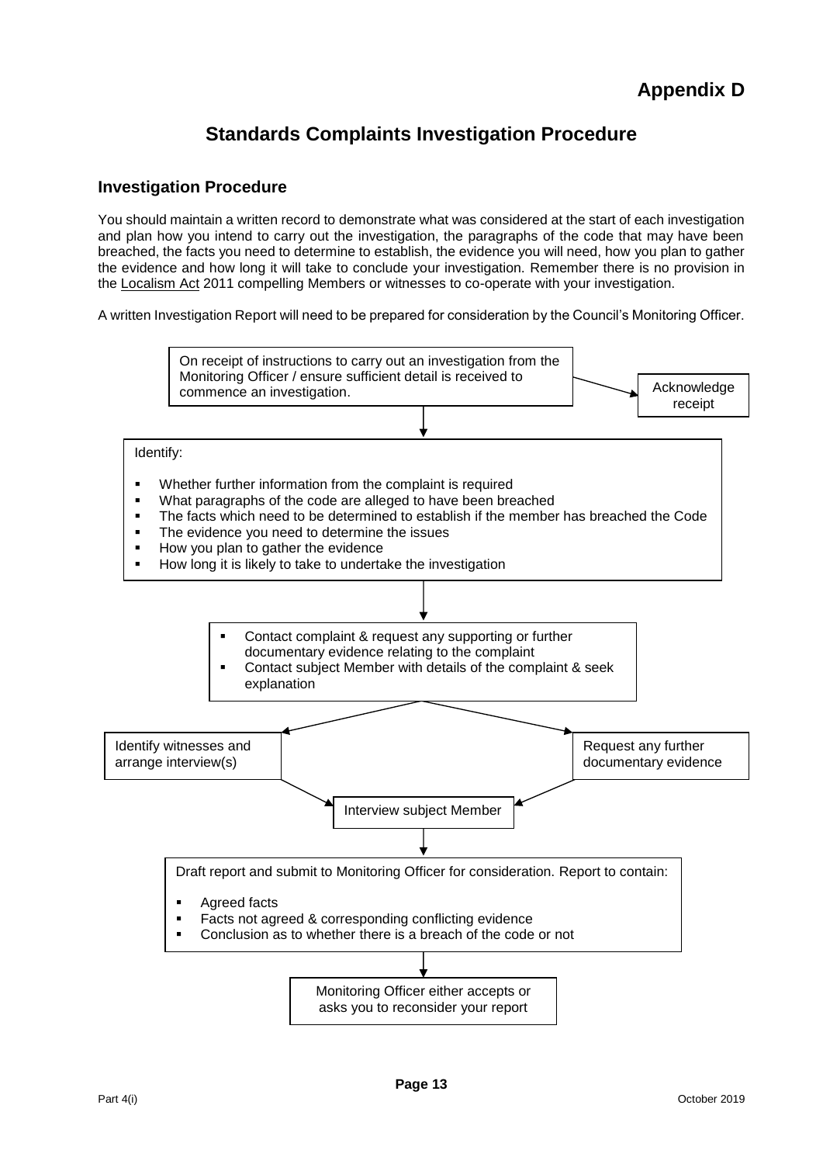# **Standards Complaints Investigation Procedure**

# **Investigation Procedure**

You should maintain a written record to demonstrate what was considered at the start of each investigation and plan how you intend to carry out the investigation, the paragraphs of the code that may have been breached, the facts you need to determine to establish, the evidence you will need, how you plan to gather the evidence and how long it will take to conclude your investigation. Remember there is no provision in the Localism Act 2011 compelling Members or witnesses to co-operate with your investigation.

A written Investigation Report will need to be prepared for consideration by the Council's Monitoring Officer.

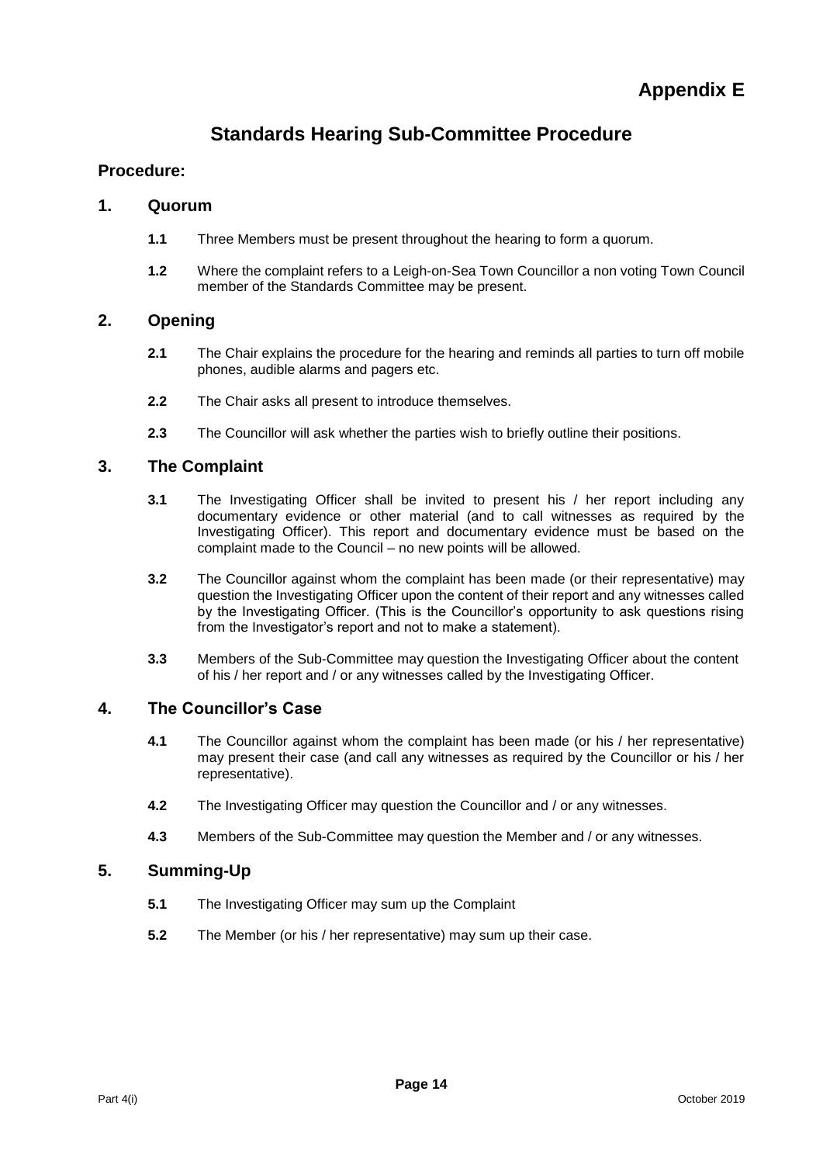# **Standards Hearing Sub-Committee Procedure**

# **Procedure:**

### **1. Quorum**

- **1.1** Three Members must be present throughout the hearing to form a quorum.
- **1.2** Where the complaint refers to a Leigh-on-Sea Town Councillor a non voting Town Council member of the Standards Committee may be present.

### **2. Opening**

- **2.1** The Chair explains the procedure for the hearing and reminds all parties to turn off mobile phones, audible alarms and pagers etc.
- **2.2** The Chair asks all present to introduce themselves.
- **2.3** The Councillor will ask whether the parties wish to briefly outline their positions.

### **3. The Complaint**

- **3.1** The Investigating Officer shall be invited to present his / her report including any documentary evidence or other material (and to call witnesses as required by the Investigating Officer). This report and documentary evidence must be based on the complaint made to the Council – no new points will be allowed.
- **3.2** The Councillor against whom the complaint has been made (or their representative) may question the Investigating Officer upon the content of their report and any witnesses called by the Investigating Officer. (This is the Councillor's opportunity to ask questions rising from the Investigator's report and not to make a statement).
- **3.3** Members of the Sub-Committee may question the Investigating Officer about the content of his / her report and / or any witnesses called by the Investigating Officer.

# **4. The Councillor's Case**

- **4.1** The Councillor against whom the complaint has been made (or his / her representative) may present their case (and call any witnesses as required by the Councillor or his / her representative).
- **4.2** The Investigating Officer may question the Councillor and / or any witnesses.
- **4.3** Members of the Sub-Committee may question the Member and / or any witnesses.

### **5. Summing-Up**

- **5.1** The Investigating Officer may sum up the Complaint
- **5.2** The Member (or his / her representative) may sum up their case.